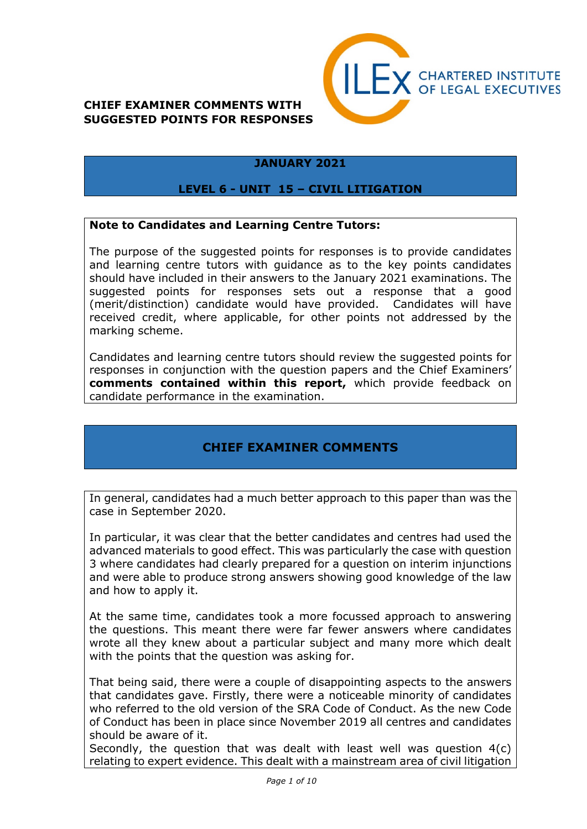

### **JANUARY 2021**

#### **LEVEL 6 - UNIT 15 – CIVIL LITIGATION**

#### **Note to Candidates and Learning Centre Tutors:**

The purpose of the suggested points for responses is to provide candidates and learning centre tutors with guidance as to the key points candidates should have included in their answers to the January 2021 examinations. The suggested points for responses sets out a response that a good (merit/distinction) candidate would have provided. Candidates will have received credit, where applicable, for other points not addressed by the marking scheme.

Candidates and learning centre tutors should review the suggested points for responses in conjunction with the question papers and the Chief Examiners' **comments contained within this report,** which provide feedback on candidate performance in the examination.

## **CHIEF EXAMINER COMMENTS**

In general, candidates had a much better approach to this paper than was the case in September 2020.

In particular, it was clear that the better candidates and centres had used the advanced materials to good effect. This was particularly the case with question 3 where candidates had clearly prepared for a question on interim injunctions and were able to produce strong answers showing good knowledge of the law and how to apply it.

At the same time, candidates took a more focussed approach to answering the questions. This meant there were far fewer answers where candidates wrote all they knew about a particular subject and many more which dealt with the points that the question was asking for.

That being said, there were a couple of disappointing aspects to the answers that candidates gave. Firstly, there were a noticeable minority of candidates who referred to the old version of the SRA Code of Conduct. As the new Code of Conduct has been in place since November 2019 all centres and candidates should be aware of it.

Secondly, the question that was dealt with least well was question 4(c) relating to expert evidence. This dealt with a mainstream area of civil litigation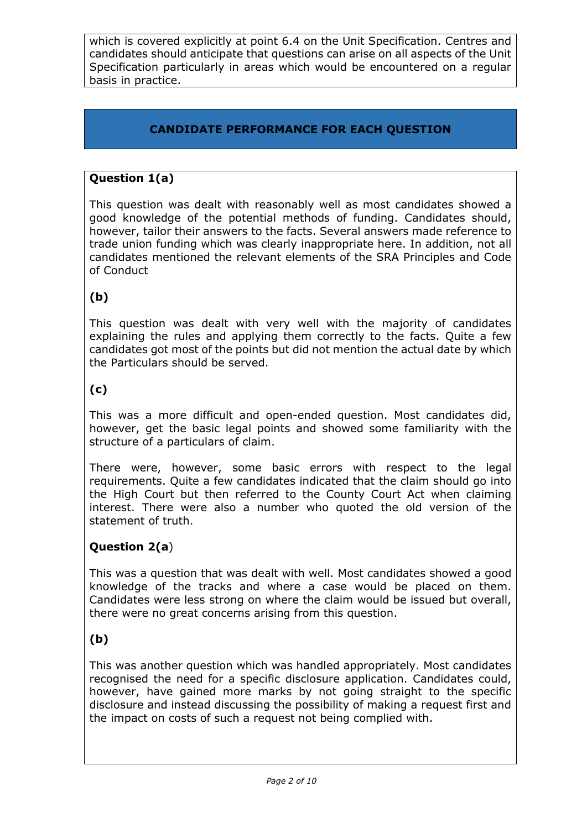which is covered explicitly at point 6.4 on the Unit Specification. Centres and candidates should anticipate that questions can arise on all aspects of the Unit Specification particularly in areas which would be encountered on a regular basis in practice.

# **CANDIDATE PERFORMANCE FOR EACH QUESTION**

## **Question 1(a)**

This question was dealt with reasonably well as most candidates showed a good knowledge of the potential methods of funding. Candidates should, however, tailor their answers to the facts. Several answers made reference to trade union funding which was clearly inappropriate here. In addition, not all candidates mentioned the relevant elements of the SRA Principles and Code of Conduct

## **(b)**

This question was dealt with very well with the majority of candidates explaining the rules and applying them correctly to the facts. Quite a few candidates got most of the points but did not mention the actual date by which the Particulars should be served.

## **(c)**

This was a more difficult and open-ended question. Most candidates did, however, get the basic legal points and showed some familiarity with the structure of a particulars of claim.

There were, however, some basic errors with respect to the legal requirements. Quite a few candidates indicated that the claim should go into the High Court but then referred to the County Court Act when claiming interest. There were also a number who quoted the old version of the statement of truth.

## **Question 2(a**)

This was a question that was dealt with well. Most candidates showed a good knowledge of the tracks and where a case would be placed on them. Candidates were less strong on where the claim would be issued but overall, there were no great concerns arising from this question.

## **(b)**

This was another question which was handled appropriately. Most candidates recognised the need for a specific disclosure application. Candidates could, however, have gained more marks by not going straight to the specific disclosure and instead discussing the possibility of making a request first and the impact on costs of such a request not being complied with.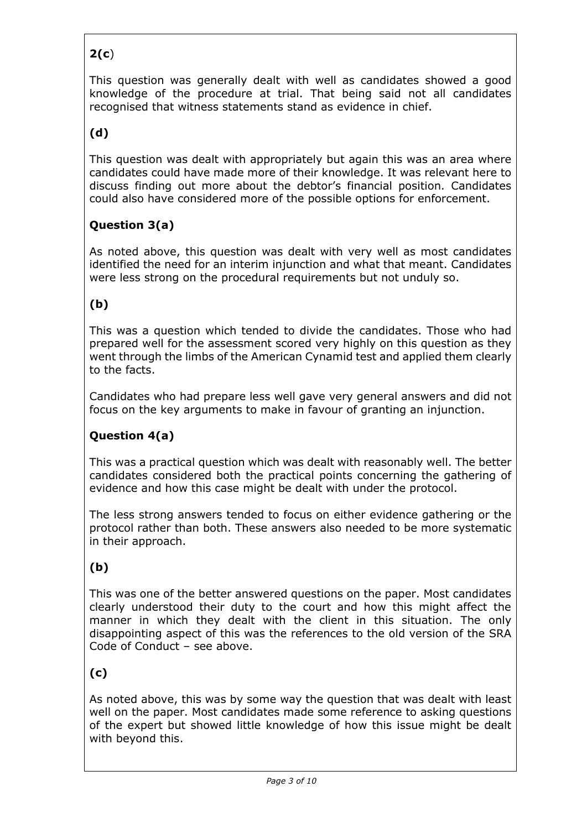# **2(c**)

This question was generally dealt with well as candidates showed a good knowledge of the procedure at trial. That being said not all candidates recognised that witness statements stand as evidence in chief.

# **(d)**

This question was dealt with appropriately but again this was an area where candidates could have made more of their knowledge. It was relevant here to discuss finding out more about the debtor's financial position. Candidates could also have considered more of the possible options for enforcement.

## **Question 3(a)**

As noted above, this question was dealt with very well as most candidates identified the need for an interim injunction and what that meant. Candidates were less strong on the procedural requirements but not unduly so.

## **(b)**

This was a question which tended to divide the candidates. Those who had prepared well for the assessment scored very highly on this question as they went through the limbs of the American Cynamid test and applied them clearly to the facts.

Candidates who had prepare less well gave very general answers and did not focus on the key arguments to make in favour of granting an injunction.

## **Question 4(a)**

This was a practical question which was dealt with reasonably well. The better candidates considered both the practical points concerning the gathering of evidence and how this case might be dealt with under the protocol.

The less strong answers tended to focus on either evidence gathering or the protocol rather than both. These answers also needed to be more systematic in their approach.

## **(b)**

This was one of the better answered questions on the paper. Most candidates clearly understood their duty to the court and how this might affect the manner in which they dealt with the client in this situation. The only disappointing aspect of this was the references to the old version of the SRA Code of Conduct – see above.

## **(c)**

As noted above, this was by some way the question that was dealt with least well on the paper. Most candidates made some reference to asking questions of the expert but showed little knowledge of how this issue might be dealt with beyond this.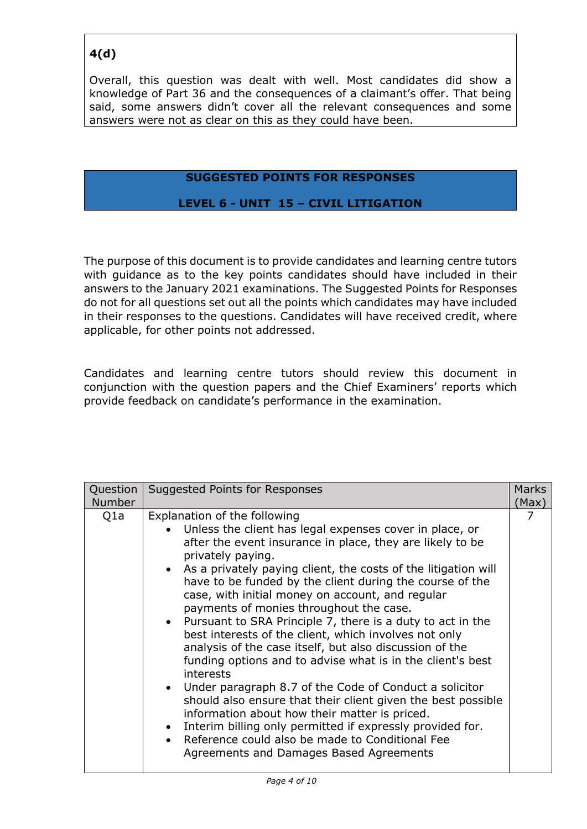# **4(d)**

Overall, this question was dealt with well. Most candidates did show a knowledge of Part 36 and the consequences of a claimant's offer. That being said, some answers didn't cover all the relevant consequences and some answers were not as clear on this as they could have been.

### **SUGGESTED POINTS FOR RESPONSES**

### **LEVEL 6 - UNIT 15 – CIVIL LITIGATION**

The purpose of this document is to provide candidates and learning centre tutors with guidance as to the key points candidates should have included in their answers to the January 2021 examinations. The Suggested Points for Responses do not for all questions set out all the points which candidates may have included in their responses to the questions. Candidates will have received credit, where applicable, for other points not addressed.

Candidates and learning centre tutors should review this document in conjunction with the question papers and the Chief Examiners' reports which provide feedback on candidate's performance in the examination.

| Question      | Suggested Points for Responses                                                                                                                                                                                                                                                                                                                                                                                                                                                                                                                                                                                                                                                                                                                                                                                                                                                                                                                                                                                | <b>Marks</b> |
|---------------|---------------------------------------------------------------------------------------------------------------------------------------------------------------------------------------------------------------------------------------------------------------------------------------------------------------------------------------------------------------------------------------------------------------------------------------------------------------------------------------------------------------------------------------------------------------------------------------------------------------------------------------------------------------------------------------------------------------------------------------------------------------------------------------------------------------------------------------------------------------------------------------------------------------------------------------------------------------------------------------------------------------|--------------|
| <b>Number</b> |                                                                                                                                                                                                                                                                                                                                                                                                                                                                                                                                                                                                                                                                                                                                                                                                                                                                                                                                                                                                               | (Max)        |
| Q1a           | Explanation of the following<br>Unless the client has legal expenses cover in place, or<br>after the event insurance in place, they are likely to be<br>privately paying.<br>As a privately paying client, the costs of the litigation will<br>have to be funded by the client during the course of the<br>case, with initial money on account, and regular<br>payments of monies throughout the case.<br>• Pursuant to SRA Principle 7, there is a duty to act in the<br>best interests of the client, which involves not only<br>analysis of the case itself, but also discussion of the<br>funding options and to advise what is in the client's best<br>interests<br>• Under paragraph 8.7 of the Code of Conduct a solicitor<br>should also ensure that their client given the best possible<br>information about how their matter is priced.<br>Interim billing only permitted if expressly provided for.<br>Reference could also be made to Conditional Fee<br>Agreements and Damages Based Agreements | 7            |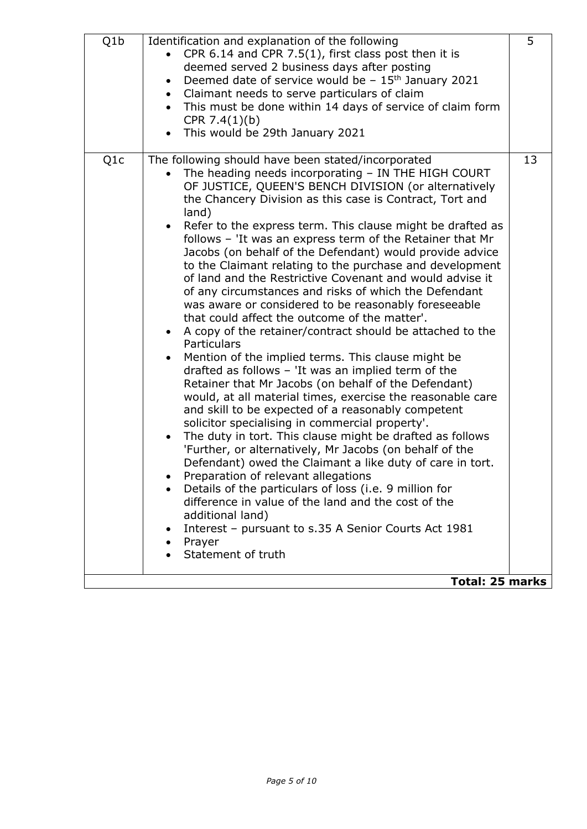| Q1b<br>5<br>Identification and explanation of the following<br>CPR 6.14 and CPR 7.5(1), first class post then it is<br>deemed served 2 business days after posting<br>Deemed date of service would be $-15$ <sup>th</sup> January 2021<br>$\bullet$<br>Claimant needs to serve particulars of claim<br>This must be done within 14 days of service of claim form<br>CPR $7.4(1)(b)$<br>This would be 29th January 2021<br>Q <sub>1</sub> c<br>13<br>The following should have been stated/incorporated<br>The heading needs incorporating - IN THE HIGH COURT<br>OF JUSTICE, QUEEN'S BENCH DIVISION (or alternatively<br>the Chancery Division as this case is Contract, Tort and<br>land)<br>Refer to the express term. This clause might be drafted as<br>follows - 'It was an express term of the Retainer that Mr<br>Jacobs (on behalf of the Defendant) would provide advice<br>to the Claimant relating to the purchase and development<br>of land and the Restrictive Covenant and would advise it<br>of any circumstances and risks of which the Defendant<br>was aware or considered to be reasonably foreseeable<br>that could affect the outcome of the matter'.<br>A copy of the retainer/contract should be attached to the<br>Particulars<br>Mention of the implied terms. This clause might be<br>drafted as follows - 'It was an implied term of the<br>Retainer that Mr Jacobs (on behalf of the Defendant)<br>would, at all material times, exercise the reasonable care<br>and skill to be expected of a reasonably competent<br>solicitor specialising in commercial property'.<br>The duty in tort. This clause might be drafted as follows<br>'Further, or alternatively, Mr Jacobs (on behalf of the<br>Defendant) owed the Claimant a like duty of care in tort.<br>Preparation of relevant allegations<br>Details of the particulars of loss (i.e. 9 million for<br>difference in value of the land and the cost of the<br>additional land)<br>Interest - pursuant to s.35 A Senior Courts Act 1981<br>Prayer<br>Statement of truth |  |  |
|--------------------------------------------------------------------------------------------------------------------------------------------------------------------------------------------------------------------------------------------------------------------------------------------------------------------------------------------------------------------------------------------------------------------------------------------------------------------------------------------------------------------------------------------------------------------------------------------------------------------------------------------------------------------------------------------------------------------------------------------------------------------------------------------------------------------------------------------------------------------------------------------------------------------------------------------------------------------------------------------------------------------------------------------------------------------------------------------------------------------------------------------------------------------------------------------------------------------------------------------------------------------------------------------------------------------------------------------------------------------------------------------------------------------------------------------------------------------------------------------------------------------------------------------------------------------------------------------------------------------------------------------------------------------------------------------------------------------------------------------------------------------------------------------------------------------------------------------------------------------------------------------------------------------------------------------------------------------------------------------------------------------------------------------------------------|--|--|
|                                                                                                                                                                                                                                                                                                                                                                                                                                                                                                                                                                                                                                                                                                                                                                                                                                                                                                                                                                                                                                                                                                                                                                                                                                                                                                                                                                                                                                                                                                                                                                                                                                                                                                                                                                                                                                                                                                                                                                                                                                                              |  |  |
| <b>Total: 25 marks</b>                                                                                                                                                                                                                                                                                                                                                                                                                                                                                                                                                                                                                                                                                                                                                                                                                                                                                                                                                                                                                                                                                                                                                                                                                                                                                                                                                                                                                                                                                                                                                                                                                                                                                                                                                                                                                                                                                                                                                                                                                                       |  |  |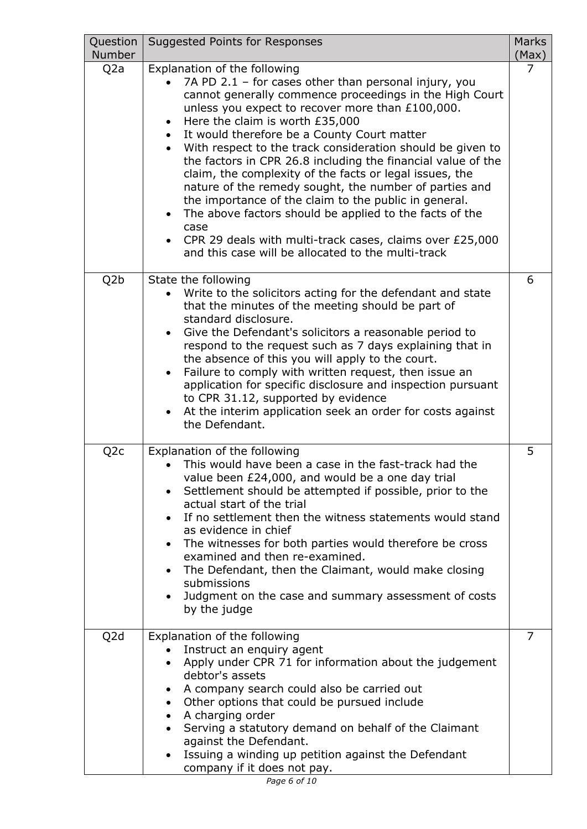| Question<br><b>Number</b> | Suggested Points for Responses                                                                                                                                                                                                                                                                                                                                                                                                                                                                                                                                                                                                                                                                                                                                                          | <b>Marks</b><br>(Max) |
|---------------------------|-----------------------------------------------------------------------------------------------------------------------------------------------------------------------------------------------------------------------------------------------------------------------------------------------------------------------------------------------------------------------------------------------------------------------------------------------------------------------------------------------------------------------------------------------------------------------------------------------------------------------------------------------------------------------------------------------------------------------------------------------------------------------------------------|-----------------------|
| Q <sub>2</sub> a          | Explanation of the following<br>7A PD 2.1 - for cases other than personal injury, you<br>cannot generally commence proceedings in the High Court<br>unless you expect to recover more than £100,000.<br>Here the claim is worth £35,000<br>It would therefore be a County Court matter<br>With respect to the track consideration should be given to<br>the factors in CPR 26.8 including the financial value of the<br>claim, the complexity of the facts or legal issues, the<br>nature of the remedy sought, the number of parties and<br>the importance of the claim to the public in general.<br>The above factors should be applied to the facts of the<br>case<br>CPR 29 deals with multi-track cases, claims over £25,000<br>and this case will be allocated to the multi-track | $\overline{7}$        |
| Q <sub>2</sub> b          | State the following<br>Write to the solicitors acting for the defendant and state<br>that the minutes of the meeting should be part of<br>standard disclosure.<br>Give the Defendant's solicitors a reasonable period to<br>respond to the request such as 7 days explaining that in<br>the absence of this you will apply to the court.<br>Failure to comply with written request, then issue an<br>application for specific disclosure and inspection pursuant<br>to CPR 31.12, supported by evidence<br>At the interim application seek an order for costs against<br>the Defendant.                                                                                                                                                                                                 | 6                     |
| Q <sub>2</sub> c          | Explanation of the following<br>This would have been a case in the fast-track had the<br>value been £24,000, and would be a one day trial<br>Settlement should be attempted if possible, prior to the<br>actual start of the trial<br>If no settlement then the witness statements would stand<br>as evidence in chief<br>The witnesses for both parties would therefore be cross<br>examined and then re-examined.<br>The Defendant, then the Claimant, would make closing<br>submissions<br>Judgment on the case and summary assessment of costs<br>by the judge                                                                                                                                                                                                                      | 5                     |
| Q <sub>2</sub> d          | Explanation of the following<br>Instruct an enquiry agent<br>Apply under CPR 71 for information about the judgement<br>debtor's assets<br>A company search could also be carried out<br>Other options that could be pursued include<br>A charging order<br>Serving a statutory demand on behalf of the Claimant<br>against the Defendant.<br>Issuing a winding up petition against the Defendant<br>company if it does not pay.                                                                                                                                                                                                                                                                                                                                                         | $\overline{7}$        |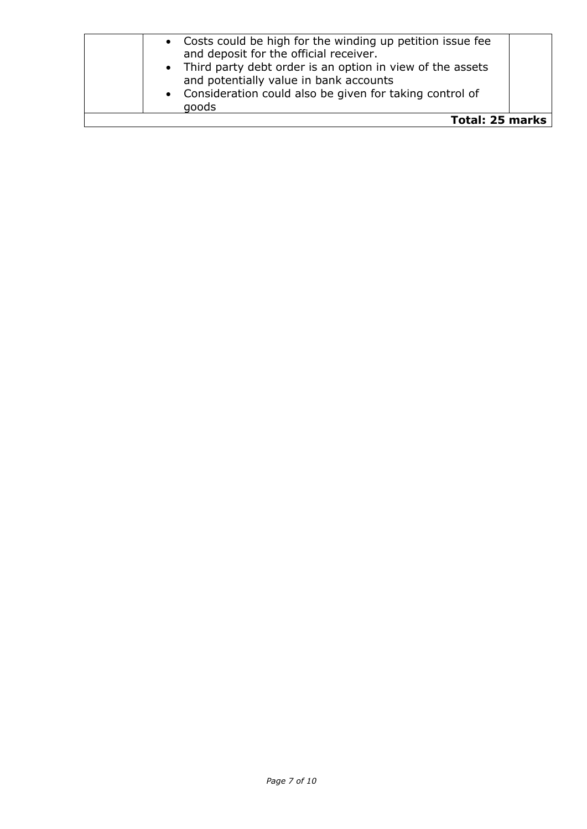| <b>Total: 25 marks</b>                                                                                |  |
|-------------------------------------------------------------------------------------------------------|--|
| goods                                                                                                 |  |
| and potentially value in bank accounts<br>• Consideration could also be given for taking control of   |  |
| • Third party debt order is an option in view of the assets                                           |  |
| • Costs could be high for the winding up petition issue fee<br>and deposit for the official receiver. |  |
|                                                                                                       |  |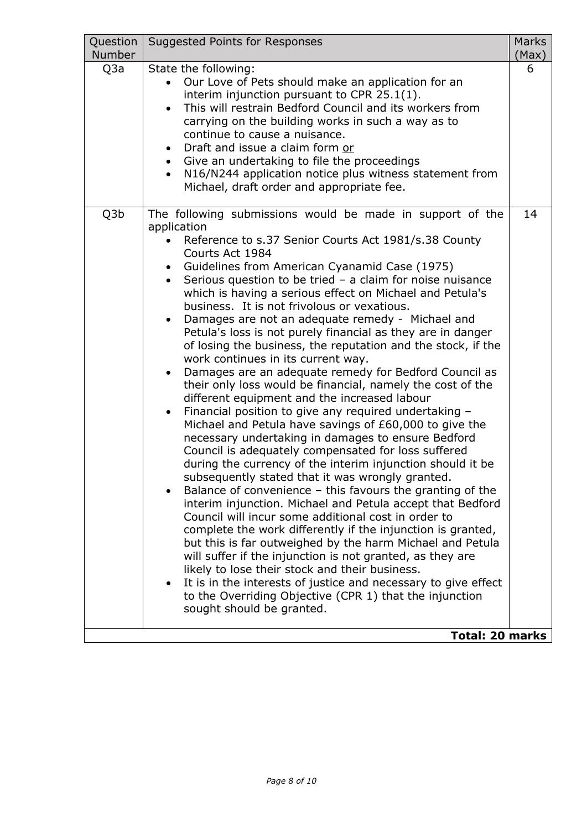| Q3a<br>State the following:<br>6<br>Our Love of Pets should make an application for an<br>interim injunction pursuant to CPR 25.1(1).<br>This will restrain Bedford Council and its workers from<br>$\bullet$<br>carrying on the building works in such a way as to<br>continue to cause a nuisance.<br>Draft and issue a claim form or<br>Give an undertaking to file the proceedings<br>N16/N244 application notice plus witness statement from<br>Michael, draft order and appropriate fee.<br>Q3b<br>The following submissions would be made in support of the<br>14<br>application<br>Reference to s.37 Senior Courts Act 1981/s.38 County<br>Courts Act 1984<br>• Guidelines from American Cyanamid Case (1975)<br>Serious question to be tried $-$ a claim for noise nuisance<br>which is having a serious effect on Michael and Petula's<br>business. It is not frivolous or vexatious.<br>Damages are not an adequate remedy - Michael and<br>Petula's loss is not purely financial as they are in danger<br>of losing the business, the reputation and the stock, if the<br>work continues in its current way.<br>Damages are an adequate remedy for Bedford Council as<br>their only loss would be financial, namely the cost of the<br>different equipment and the increased labour<br>Financial position to give any required undertaking -<br>$\bullet$<br>Michael and Petula have savings of £60,000 to give the<br>necessary undertaking in damages to ensure Bedford<br>Council is adequately compensated for loss suffered<br>during the currency of the interim injunction should it be<br>subsequently stated that it was wrongly granted.<br>Balance of convenience - this favours the granting of the<br>interim injunction. Michael and Petula accept that Bedford<br>Council will incur some additional cost in order to<br>complete the work differently if the injunction is granted,<br>but this is far outweighed by the harm Michael and Petula<br>will suffer if the injunction is not granted, as they are<br>likely to lose their stock and their business.<br>It is in the interests of justice and necessary to give effect<br>$\bullet$<br>to the Overriding Objective (CPR 1) that the injunction<br>sought should be granted.<br><b>Total: 20 marks</b> | Question<br><b>Number</b> | Suggested Points for Responses | <b>Marks</b><br>(Max) |
|----------------------------------------------------------------------------------------------------------------------------------------------------------------------------------------------------------------------------------------------------------------------------------------------------------------------------------------------------------------------------------------------------------------------------------------------------------------------------------------------------------------------------------------------------------------------------------------------------------------------------------------------------------------------------------------------------------------------------------------------------------------------------------------------------------------------------------------------------------------------------------------------------------------------------------------------------------------------------------------------------------------------------------------------------------------------------------------------------------------------------------------------------------------------------------------------------------------------------------------------------------------------------------------------------------------------------------------------------------------------------------------------------------------------------------------------------------------------------------------------------------------------------------------------------------------------------------------------------------------------------------------------------------------------------------------------------------------------------------------------------------------------------------------------------------------------------------------------------------------------------------------------------------------------------------------------------------------------------------------------------------------------------------------------------------------------------------------------------------------------------------------------------------------------------------------------------------------------------------------------------------------------------------------------|---------------------------|--------------------------------|-----------------------|
|                                                                                                                                                                                                                                                                                                                                                                                                                                                                                                                                                                                                                                                                                                                                                                                                                                                                                                                                                                                                                                                                                                                                                                                                                                                                                                                                                                                                                                                                                                                                                                                                                                                                                                                                                                                                                                                                                                                                                                                                                                                                                                                                                                                                                                                                                              |                           |                                |                       |
|                                                                                                                                                                                                                                                                                                                                                                                                                                                                                                                                                                                                                                                                                                                                                                                                                                                                                                                                                                                                                                                                                                                                                                                                                                                                                                                                                                                                                                                                                                                                                                                                                                                                                                                                                                                                                                                                                                                                                                                                                                                                                                                                                                                                                                                                                              |                           |                                |                       |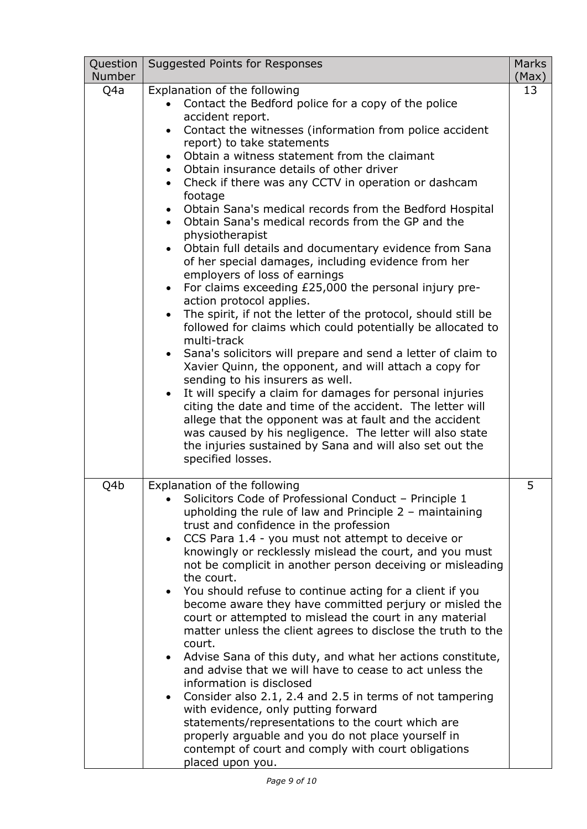| Question<br><b>Number</b> | Suggested Points for Responses                                                                                                                                                                                                                                                                                                                                                                                                                                                                                                                                                                                                                                                                                                                                                                                                                                                                                                                                                                                                                                                                                                                                                                                                                                                                                                                                                                                                   | <b>Marks</b><br>(Max) |
|---------------------------|----------------------------------------------------------------------------------------------------------------------------------------------------------------------------------------------------------------------------------------------------------------------------------------------------------------------------------------------------------------------------------------------------------------------------------------------------------------------------------------------------------------------------------------------------------------------------------------------------------------------------------------------------------------------------------------------------------------------------------------------------------------------------------------------------------------------------------------------------------------------------------------------------------------------------------------------------------------------------------------------------------------------------------------------------------------------------------------------------------------------------------------------------------------------------------------------------------------------------------------------------------------------------------------------------------------------------------------------------------------------------------------------------------------------------------|-----------------------|
| Q4a                       | Explanation of the following<br>Contact the Bedford police for a copy of the police<br>accident report.<br>Contact the witnesses (information from police accident<br>report) to take statements<br>Obtain a witness statement from the claimant<br>Obtain insurance details of other driver<br>$\bullet$<br>Check if there was any CCTV in operation or dashcam<br>$\bullet$<br>footage<br>Obtain Sana's medical records from the Bedford Hospital<br>Obtain Sana's medical records from the GP and the<br>physiotherapist<br>Obtain full details and documentary evidence from Sana<br>of her special damages, including evidence from her<br>employers of loss of earnings<br>For claims exceeding £25,000 the personal injury pre-<br>$\bullet$<br>action protocol applies.<br>The spirit, if not the letter of the protocol, should still be<br>followed for claims which could potentially be allocated to<br>multi-track<br>• Sana's solicitors will prepare and send a letter of claim to<br>Xavier Quinn, the opponent, and will attach a copy for<br>sending to his insurers as well.<br>It will specify a claim for damages for personal injuries<br>citing the date and time of the accident. The letter will<br>allege that the opponent was at fault and the accident<br>was caused by his negligence. The letter will also state<br>the injuries sustained by Sana and will also set out the<br>specified losses. | 13                    |
| Q4b                       | Explanation of the following<br>Solicitors Code of Professional Conduct – Principle 1<br>upholding the rule of law and Principle $2 -$ maintaining<br>trust and confidence in the profession<br>CCS Para 1.4 - you must not attempt to deceive or<br>knowingly or recklessly mislead the court, and you must<br>not be complicit in another person deceiving or misleading<br>the court.<br>You should refuse to continue acting for a client if you<br>become aware they have committed perjury or misled the<br>court or attempted to mislead the court in any material<br>matter unless the client agrees to disclose the truth to the<br>court.<br>Advise Sana of this duty, and what her actions constitute,<br>and advise that we will have to cease to act unless the<br>information is disclosed<br>Consider also 2.1, 2.4 and 2.5 in terms of not tampering<br>with evidence, only putting forward<br>statements/representations to the court which are<br>properly arguable and you do not place yourself in<br>contempt of court and comply with court obligations<br>placed upon you.                                                                                                                                                                                                                                                                                                                                | 5                     |